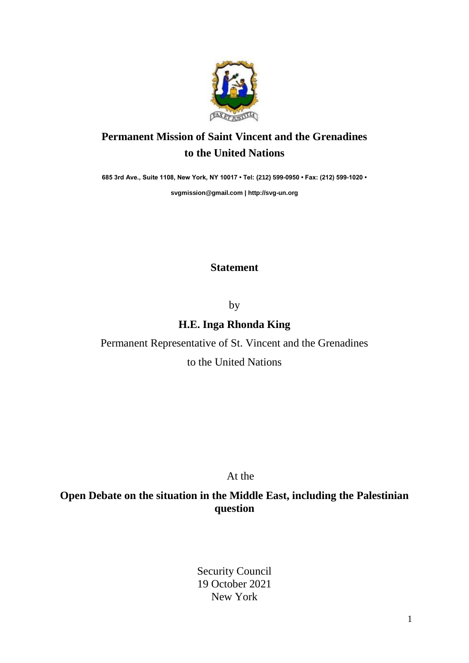

## **Permanent Mission of Saint Vincent and the Grenadines to the United Nations**

**685 3rd Ave., Suite 1108, New York, NY 10017 • Tel: (212) 599-0950 • Fax: (212) 599-1020 •** 

**[svgmission@gmail.com](mailto:svgmission@gmail.com) | [http://svg-un.org](http://svg-un.org/)**

## **Statement**

by

**H.E. Inga Rhonda King**

Permanent Representative of St. Vincent and the Grenadines to the United Nations

At the

**Open Debate on the situation in the Middle East, including the Palestinian question**

> Security Council 19 October 2021 New York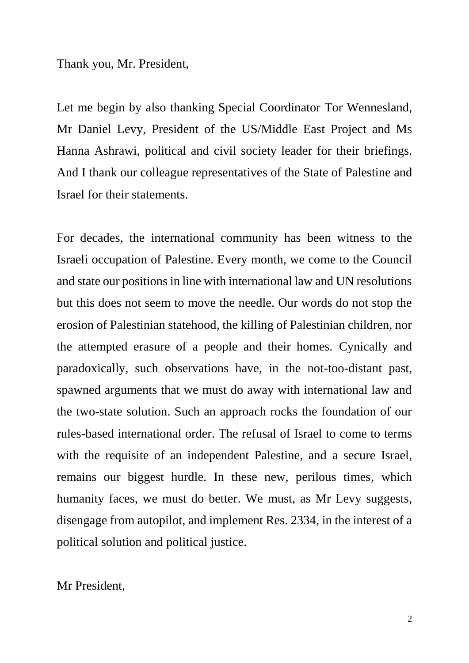Thank you, Mr. President,

Let me begin by also thanking Special Coordinator Tor Wennesland, Mr Daniel Levy, President of the US/Middle East Project and Ms Hanna Ashrawi, political and civil society leader for their briefings. And I thank our colleague representatives of the State of Palestine and Israel for their statements.

For decades, the international community has been witness to the Israeli occupation of Palestine. Every month, we come to the Council and state our positions in line with international law and UN resolutions but this does not seem to move the needle. Our words do not stop the erosion of Palestinian statehood, the killing of Palestinian children, nor the attempted erasure of a people and their homes. Cynically and paradoxically, such observations have, in the not-too-distant past, spawned arguments that we must do away with international law and the two-state solution. Such an approach rocks the foundation of our rules-based international order. The refusal of Israel to come to terms with the requisite of an independent Palestine, and a secure Israel, remains our biggest hurdle. In these new, perilous times, which humanity faces, we must do better. We must, as Mr Levy suggests, disengage from autopilot, and implement Res. 2334, in the interest of a political solution and political justice.

Mr President,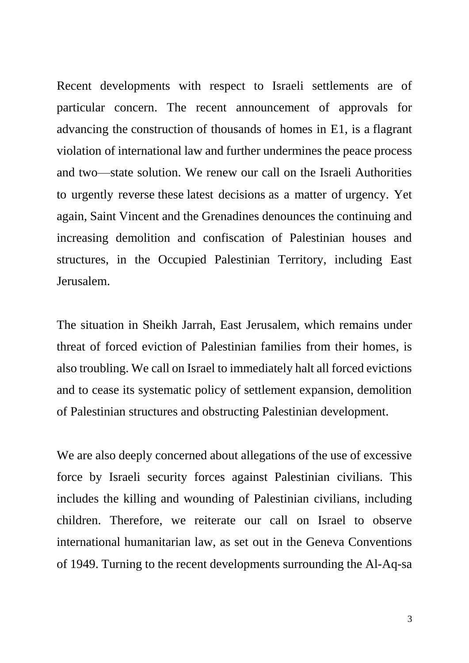Recent developments with respect to Israeli settlements are of particular concern. The recent announcement of approvals for advancing the construction of thousands of homes in E1, is a flagrant violation of international law and further undermines the peace process and two—state solution. We renew our call on the Israeli Authorities to urgently reverse these latest decisions as a matter of urgency. Yet again, Saint Vincent and the Grenadines denounces the continuing and increasing demolition and confiscation of Palestinian houses and structures, in the Occupied Palestinian Territory, including East Jerusalem.

The situation in Sheikh Jarrah, East Jerusalem, which remains under threat of forced eviction of Palestinian families from their homes, is also troubling. We call on Israel to immediately halt all forced evictions and to cease its systematic policy of settlement expansion, demolition of Palestinian structures and obstructing Palestinian development.

We are also deeply concerned about allegations of the use of excessive force by Israeli security forces against Palestinian civilians. This includes the killing and wounding of Palestinian civilians, including children. Therefore, we reiterate our call on Israel to observe international humanitarian law, as set out in the Geneva Conventions of 1949. Turning to the recent developments surrounding the Al-Aq-sa